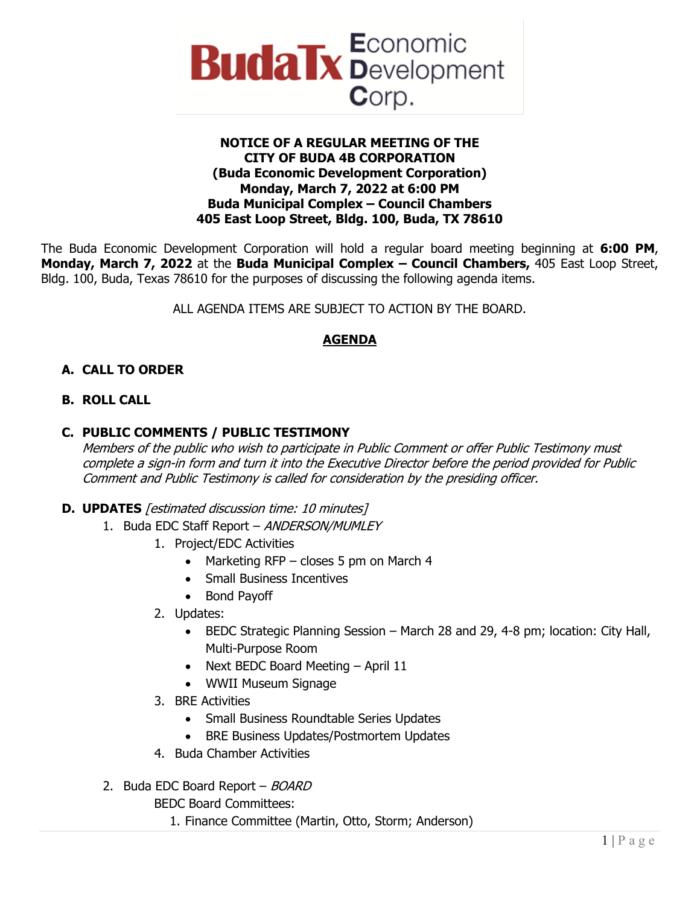

#### **NOTICE OF A REGULAR MEETING OF THE CITY OF BUDA 4B CORPORATION (Buda Economic Development Corporation) Monday, March 7, 2022 at 6:00 PM Buda Municipal Complex – Council Chambers 405 East Loop Street, Bldg. 100, Buda, TX 78610**

The Buda Economic Development Corporation will hold a regular board meeting beginning at **6:00 PM**, **Monday, March 7, 2022** at the **Buda Municipal Complex – Council Chambers,** 405 East Loop Street, Bldg. 100, Buda, Texas 78610 for the purposes of discussing the following agenda items.

ALL AGENDA ITEMS ARE SUBJECT TO ACTION BY THE BOARD.

# **AGENDA**

# **A. CALL TO ORDER**

### **B. ROLL CALL**

### **C. PUBLIC COMMENTS / PUBLIC TESTIMONY**

Members of the public who wish to participate in Public Comment or offer Public Testimony must complete a sign-in form and turn it into the Executive Director before the period provided for Public Comment and Public Testimony is called for consideration by the presiding officer.

### **D. UPDATES** [estimated discussion time: 10 minutes]

- 1. Buda EDC Staff Report ANDERSON/MUMLEY
	- 1. Project/EDC Activities
		- Marketing RFP closes 5 pm on March 4
		- Small Business Incentives
		- Bond Payoff
	- 2. Updates:
		- BEDC Strategic Planning Session March 28 and 29, 4-8 pm; location: City Hall, Multi-Purpose Room
		- Next BEDC Board Meeting April 11
		- WWII Museum Signage
	- 3. BRE Activities
		- Small Business Roundtable Series Updates
		- BRE Business Updates/Postmortem Updates
	- 4. Buda Chamber Activities
- 2. Buda EDC Board Report BOARD

BEDC Board Committees:

1. Finance Committee (Martin, Otto, Storm; Anderson)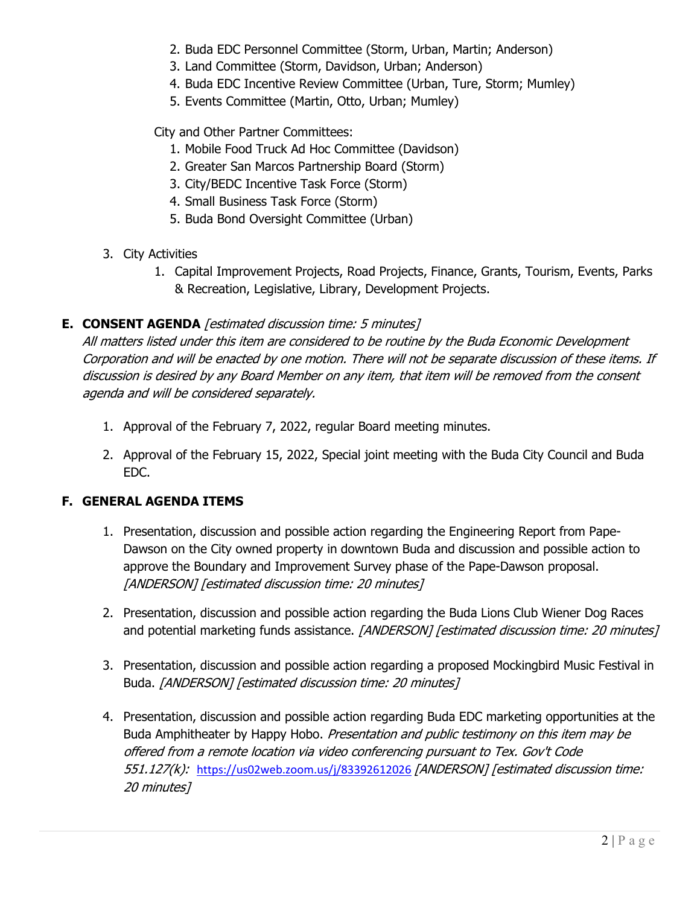- 2. Buda EDC Personnel Committee (Storm, Urban, Martin; Anderson)
- 3. Land Committee (Storm, Davidson, Urban; Anderson)
- 4. Buda EDC Incentive Review Committee (Urban, Ture, Storm; Mumley)
- 5. Events Committee (Martin, Otto, Urban; Mumley)

City and Other Partner Committees:

- 1. Mobile Food Truck Ad Hoc Committee (Davidson)
- 2. Greater San Marcos Partnership Board (Storm)
- 3. City/BEDC Incentive Task Force (Storm)
- 4. Small Business Task Force (Storm)
- 5. Buda Bond Oversight Committee (Urban)
- 3. City Activities
	- 1. Capital Improvement Projects, Road Projects, Finance, Grants, Tourism, Events, Parks & Recreation, Legislative, Library, Development Projects.

# **E. CONSENT AGENDA** [estimated discussion time: 5 minutes]

All matters listed under this item are considered to be routine by the Buda Economic Development Corporation and will be enacted by one motion. There will not be separate discussion of these items. If discussion is desired by any Board Member on any item, that item will be removed from the consent agenda and will be considered separately.

- 1. Approval of the February 7, 2022, regular Board meeting minutes.
- 2. Approval of the February 15, 2022, Special joint meeting with the Buda City Council and Buda EDC.

### **F. GENERAL AGENDA ITEMS**

- 1. Presentation, discussion and possible action regarding the Engineering Report from Pape-Dawson on the City owned property in downtown Buda and discussion and possible action to approve the Boundary and Improvement Survey phase of the Pape-Dawson proposal. [ANDERSON] [estimated discussion time: 20 minutes]
- 2. Presentation, discussion and possible action regarding the Buda Lions Club Wiener Dog Races and potential marketing funds assistance. [ANDERSON] [estimated discussion time: 20 minutes]
- 3. Presentation, discussion and possible action regarding a proposed Mockingbird Music Festival in Buda. [ANDERSON] [estimated discussion time: 20 minutes]
- 4. Presentation, discussion and possible action regarding Buda EDC marketing opportunities at the Buda Amphitheater by Happy Hobo. Presentation and public testimony on this item may be offered from a remote location via video conferencing pursuant to Tex. Gov't Code 551.127(k): <https://us02web.zoom.us/j/83392612026> [ANDERSON] [estimated discussion time: 20 minutes]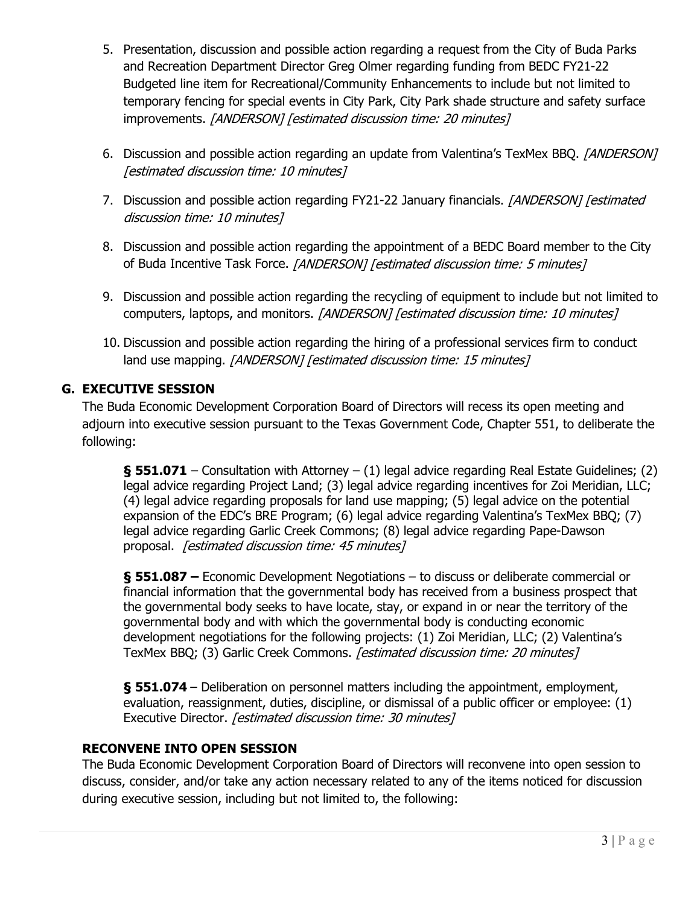- 5. Presentation, discussion and possible action regarding a request from the City of Buda Parks and Recreation Department Director Greg Olmer regarding funding from BEDC FY21-22 Budgeted line item for Recreational/Community Enhancements to include but not limited to temporary fencing for special events in City Park, City Park shade structure and safety surface improvements. [ANDERSON] [estimated discussion time: 20 minutes]
- 6. Discussion and possible action regarding an update from Valentina's TexMex BBQ. [ANDERSON] [estimated discussion time: 10 minutes]
- 7. Discussion and possible action regarding FY21-22 January financials. [ANDERSON] [estimated discussion time: 10 minutes]
- 8. Discussion and possible action regarding the appointment of a BEDC Board member to the City of Buda Incentive Task Force. [ANDERSON] [estimated discussion time: 5 minutes]
- 9. Discussion and possible action regarding the recycling of equipment to include but not limited to computers, laptops, and monitors. [ANDERSON] [estimated discussion time: 10 minutes]
- 10. Discussion and possible action regarding the hiring of a professional services firm to conduct land use mapping. [ANDERSON] [estimated discussion time: 15 minutes]

# **G. EXECUTIVE SESSION**

The Buda Economic Development Corporation Board of Directors will recess its open meeting and adjourn into executive session pursuant to the Texas Government Code, Chapter 551, to deliberate the following:

**§ 551.071** – Consultation with Attorney – (1) legal advice regarding Real Estate Guidelines; (2) legal advice regarding Project Land; (3) legal advice regarding incentives for Zoi Meridian, LLC; (4) legal advice regarding proposals for land use mapping; (5) legal advice on the potential expansion of the EDC's BRE Program; (6) legal advice regarding Valentina's TexMex BBQ; (7) legal advice regarding Garlic Creek Commons; (8) legal advice regarding Pape-Dawson proposal. [estimated discussion time: 45 minutes]

**§ 551.087 –** Economic Development Negotiations – to discuss or deliberate commercial or financial information that the governmental body has received from a business prospect that the governmental body seeks to have locate, stay, or expand in or near the territory of the governmental body and with which the governmental body is conducting economic development negotiations for the following projects: (1) Zoi Meridian, LLC; (2) Valentina's TexMex BBQ; (3) Garlic Creek Commons. *[estimated discussion time: 20 minutes]* 

**§ 551.074** – Deliberation on personnel matters including the appointment, employment, evaluation, reassignment, duties, discipline, or dismissal of a public officer or employee: (1) Executive Director. [estimated discussion time: 30 minutes]

# **RECONVENE INTO OPEN SESSION**

The Buda Economic Development Corporation Board of Directors will reconvene into open session to discuss, consider, and/or take any action necessary related to any of the items noticed for discussion during executive session, including but not limited to, the following: